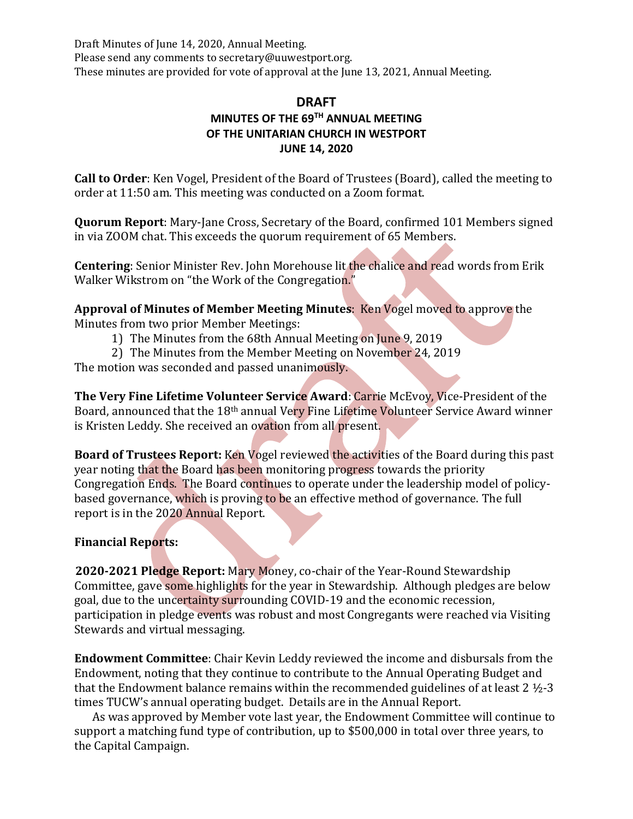Draft Minutes of June 14, 2020, Annual Meeting. Please send any comments to secretary@uuwestport.org. These minutes are provided for vote of approval at the June 13, 2021, Annual Meeting.

## **DRAFT MINUTES OF THE 69 TH ANNUAL MEETING OF THE UNITARIAN CHURCH IN WESTPORT JUNE 14, 2020**

**Call to Order**: Ken Vogel, President of the Board of Trustees (Board), called the meeting to order at 11:50 am. This meeting was conducted on a Zoom format.

**Quorum Report**: Mary-Jane Cross, Secretary of the Board, confirmed 101 Members signed in via ZOOM chat. This exceeds the quorum requirement of 65 Members.

**Centering**: Senior Minister Rev. John Morehouse lit the chalice and read words from Erik Walker Wikstrom on "the Work of the Congregation."

**Approval of Minutes of Member Meeting Minutes**: Ken Vogel moved to approve the Minutes from two prior Member Meetings:

- 1) The Minutes from the 68th Annual Meeting on June 9, 2019
- 2) The Minutes from the Member Meeting on November 24, 2019

The motion was seconded and passed unanimously.

**The Very Fine Lifetime Volunteer Service Award**: Carrie McEvoy, Vice-President of the Board, announced that the 18th annual Very Fine Lifetime Volunteer Service Award winner is Kristen Leddy. She received an ovation from all present.

**Board of Trustees Report:** Ken Vogel reviewed the activities of the Board during this past year noting that the Board has been monitoring progress towards the priority Congregation Ends. The Board continues to operate under the leadership model of policybased governance, which is proving to be an effective method of governance. The full report is in the 2020 Annual Report.

## **Financial Reports:**

**2020-2021 Pledge Report:** Mary Money, co-chair of the Year-Round Stewardship Committee, gave some highlights for the year in Stewardship. Although pledges are below goal, due to the uncertainty surrounding COVID-19 and the economic recession, participation in pledge events was robust and most Congregants were reached via Visiting Stewards and virtual messaging.

**Endowment Committee**: Chair Kevin Leddy reviewed the income and disbursals from the Endowment, noting that they continue to contribute to the Annual Operating Budget and that the Endowment balance remains within the recommended guidelines of at least 2 ½-3 times TUCW's annual operating budget. Details are in the Annual Report.

 As was approved by Member vote last year, the Endowment Committee will continue to support a matching fund type of contribution, up to \$500,000 in total over three years, to the Capital Campaign.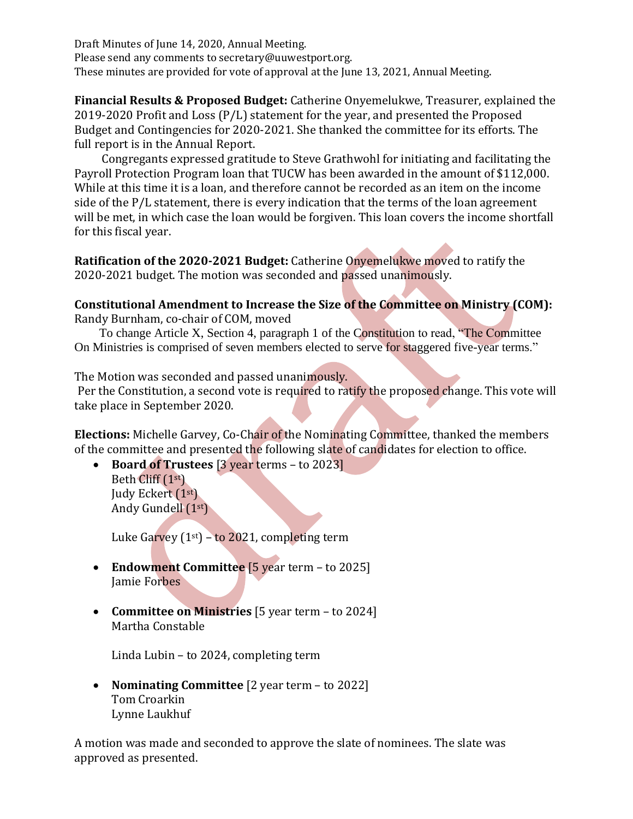Draft Minutes of June 14, 2020, Annual Meeting. Please send any comments to secretary@uuwestport.org. These minutes are provided for vote of approval at the June 13, 2021, Annual Meeting.

**Financial Results & Proposed Budget:** Catherine Onyemelukwe, Treasurer, explained the 2019-2020 Profit and Loss (P/L) statement for the year, and presented the Proposed Budget and Contingencies for 2020-2021. She thanked the committee for its efforts. The full report is in the Annual Report.

Congregants expressed gratitude to Steve Grathwohl for initiating and facilitating the Payroll Protection Program loan that TUCW has been awarded in the amount of \$112,000. While at this time it is a loan, and therefore cannot be recorded as an item on the income side of the P/L statement, there is every indication that the terms of the loan agreement will be met, in which case the loan would be forgiven. This loan covers the income shortfall for this fiscal year.

**Ratification of the 2020-2021 Budget:** Catherine Onyemelukwe moved to ratify the 2020-2021 budget. The motion was seconded and passed unanimously.

## **Constitutional Amendment to Increase the Size of the Committee on Ministry (COM):**

Randy Burnham, co-chair of COM, moved

 To change Article X, Section 4, paragraph 1 of the Constitution to read, "The Committee On Ministries is comprised of seven members elected to serve for staggered five-year terms."

The Motion was seconded and passed unanimously.

Per the Constitution, a second vote is required to ratify the proposed change. This vote will take place in September 2020.

**Elections:** Michelle Garvey, Co-Chair of the Nominating Committee, thanked the members of the committee and presented the following slate of candidates for election to office.

• **Board of Trustees** [3 year terms – to 2023] Beth Cliff (1st) Judy Eckert (1st) Andy Gundell (1st)

Luke Garvey  $(1<sup>st</sup>) -$  to 2021, completing term

- **Endowment Committee** [5 year term to 2025] Jamie Forbes
- **Committee on Ministries** [5 year term to 2024] Martha Constable

Linda Lubin – to 2024, completing term

• **Nominating Committee** [2 year term – to 2022] Tom Croarkin Lynne Laukhuf

A motion was made and seconded to approve the slate of nominees. The slate was approved as presented.